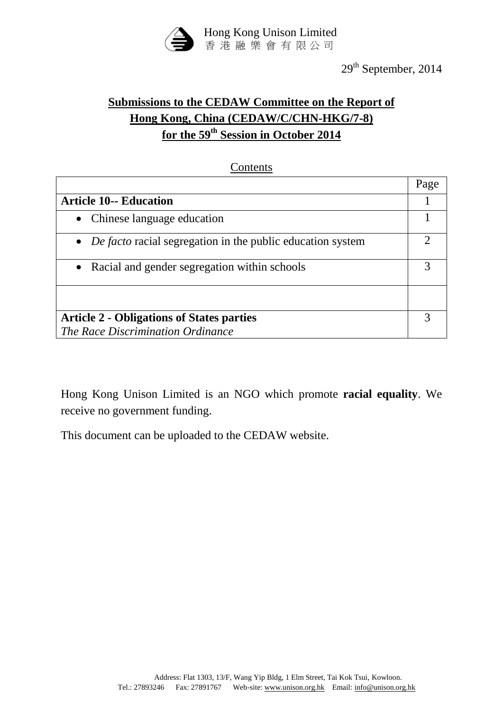

# **Submissions to the CEDAW Committee on the Report of Hong Kong, China (CEDAW/C/CHN-HKG/7-8) for the 59th Session in October 2014**

#### **Contents**

|                                                                     | Page |
|---------------------------------------------------------------------|------|
| <b>Article 10-- Education</b>                                       |      |
| • Chinese language education                                        |      |
| • <i>De facto</i> racial segregation in the public education system |      |
| • Racial and gender segregation within schools                      |      |
|                                                                     |      |
| <b>Article 2 - Obligations of States parties</b>                    |      |
| The Race Discrimination Ordinance                                   |      |

Hong Kong Unison Limited is an NGO which promote **racial equality**. We receive no government funding.

This document can be uploaded to the CEDAW website.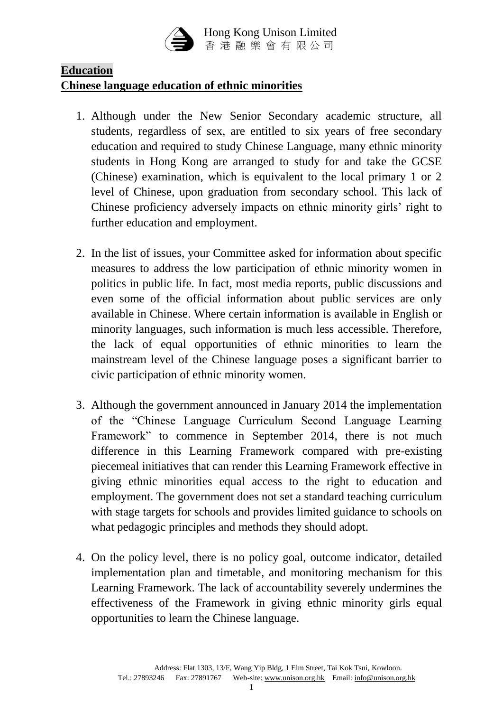

# **Education**

# **Chinese language education of ethnic minorities**

- 1. Although under the New Senior Secondary academic structure, all students, regardless of sex, are entitled to six years of free secondary education and required to study Chinese Language, many ethnic minority students in Hong Kong are arranged to study for and take the GCSE (Chinese) examination, which is equivalent to the local primary 1 or 2 level of Chinese, upon graduation from secondary school. This lack of Chinese proficiency adversely impacts on ethnic minority girls' right to further education and employment.
- 2. In the list of issues, your Committee asked for information about specific measures to address the low participation of ethnic minority women in politics in public life. In fact, most media reports, public discussions and even some of the official information about public services are only available in Chinese. Where certain information is available in English or minority languages, such information is much less accessible. Therefore, the lack of equal opportunities of ethnic minorities to learn the mainstream level of the Chinese language poses a significant barrier to civic participation of ethnic minority women.
- 3. Although the government announced in January 2014 the implementation of the "Chinese Language Curriculum Second Language Learning Framework" to commence in September 2014, there is not much difference in this Learning Framework compared with pre-existing piecemeal initiatives that can render this Learning Framework effective in giving ethnic minorities equal access to the right to education and employment. The government does not set a standard teaching curriculum with stage targets for schools and provides limited guidance to schools on what pedagogic principles and methods they should adopt.
- 4. On the policy level, there is no policy goal, outcome indicator, detailed implementation plan and timetable, and monitoring mechanism for this Learning Framework. The lack of accountability severely undermines the effectiveness of the Framework in giving ethnic minority girls equal opportunities to learn the Chinese language.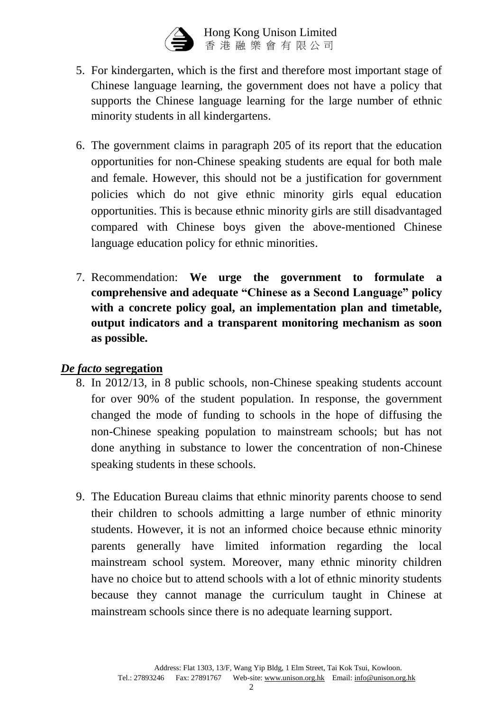

 Hong Kong Unison Limited 香 港 融 樂 會 有 限 公 司

- 5. For kindergarten, which is the first and therefore most important stage of Chinese language learning, the government does not have a policy that supports the Chinese language learning for the large number of ethnic minority students in all kindergartens.
- 6. The government claims in paragraph 205 of its report that the education opportunities for non-Chinese speaking students are equal for both male and female. However, this should not be a justification for government policies which do not give ethnic minority girls equal education opportunities. This is because ethnic minority girls are still disadvantaged compared with Chinese boys given the above-mentioned Chinese language education policy for ethnic minorities.
- 7. Recommendation: **We urge the government to formulate a comprehensive and adequate "Chinese as a Second Language" policy with a concrete policy goal, an implementation plan and timetable, output indicators and a transparent monitoring mechanism as soon as possible.**

# *De facto* **segregation**

- 8. In 2012/13, in 8 public schools, non-Chinese speaking students account for over 90% of the student population. In response, the government changed the mode of funding to schools in the hope of diffusing the non-Chinese speaking population to mainstream schools; but has not done anything in substance to lower the concentration of non-Chinese speaking students in these schools.
- 9. The Education Bureau claims that ethnic minority parents choose to send their children to schools admitting a large number of ethnic minority students. However, it is not an informed choice because ethnic minority parents generally have limited information regarding the local mainstream school system. Moreover, many ethnic minority children have no choice but to attend schools with a lot of ethnic minority students because they cannot manage the curriculum taught in Chinese at mainstream schools since there is no adequate learning support.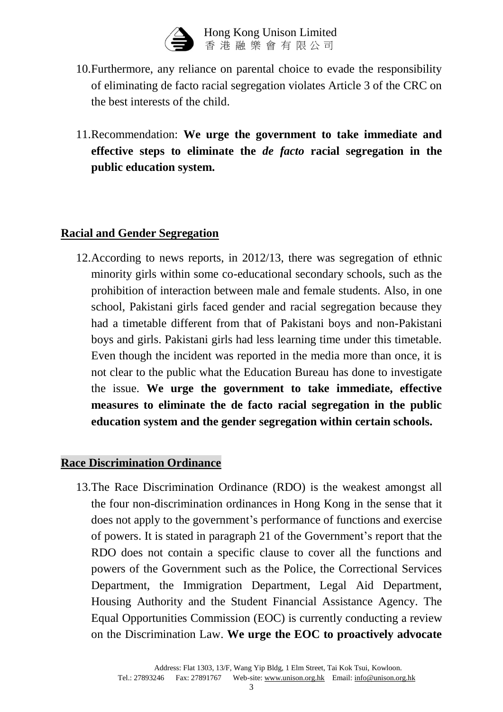

 Hong Kong Unison Limited 香 港 融 樂 會 有 限 公 司

- 10.Furthermore, any reliance on parental choice to evade the responsibility of eliminating de facto racial segregation violates Article 3 of the CRC on the best interests of the child.
- 11.Recommendation: **We urge the government to take immediate and effective steps to eliminate the** *de facto* **racial segregation in the public education system.**

# **Racial and Gender Segregation**

12.According to news reports, in 2012/13, there was segregation of ethnic minority girls within some co-educational secondary schools, such as the prohibition of interaction between male and female students. Also, in one school, Pakistani girls faced gender and racial segregation because they had a timetable different from that of Pakistani boys and non-Pakistani boys and girls. Pakistani girls had less learning time under this timetable. Even though the incident was reported in the media more than once, it is not clear to the public what the Education Bureau has done to investigate the issue. **We urge the government to take immediate, effective measures to eliminate the de facto racial segregation in the public education system and the gender segregation within certain schools.**

# **Race Discrimination Ordinance**

13.The Race Discrimination Ordinance (RDO) is the weakest amongst all the four non-discrimination ordinances in Hong Kong in the sense that it does not apply to the government's performance of functions and exercise of powers. It is stated in paragraph 21 of the Government's report that the RDO does not contain a specific clause to cover all the functions and powers of the Government such as the Police, the Correctional Services Department, the Immigration Department, Legal Aid Department, Housing Authority and the Student Financial Assistance Agency. The Equal Opportunities Commission (EOC) is currently conducting a review on the Discrimination Law. **We urge the EOC to proactively advocate**